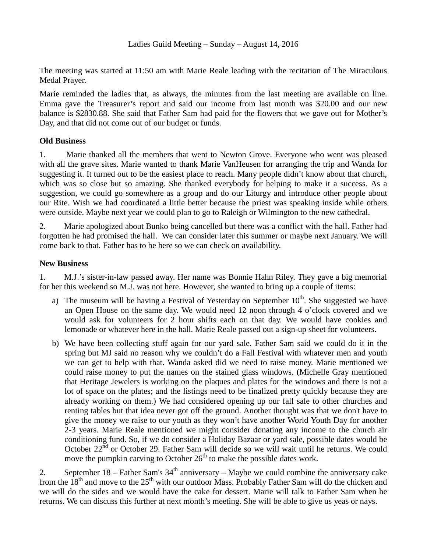The meeting was started at 11:50 am with Marie Reale leading with the recitation of The Miraculous Medal Prayer.

Marie reminded the ladies that, as always, the minutes from the last meeting are available on line. Emma gave the Treasurer's report and said our income from last month was \$20.00 and our new balance is \$2830.88. She said that Father Sam had paid for the flowers that we gave out for Mother's Day, and that did not come out of our budget or funds.

## **Old Business**

1. Marie thanked all the members that went to Newton Grove. Everyone who went was pleased with all the grave sites. Marie wanted to thank Marie VanHeusen for arranging the trip and Wanda for suggesting it. It turned out to be the easiest place to reach. Many people didn't know about that church, which was so close but so amazing. She thanked everybody for helping to make it a success. As a suggestion, we could go somewhere as a group and do our Liturgy and introduce other people about our Rite. Wish we had coordinated a little better because the priest was speaking inside while others were outside. Maybe next year we could plan to go to Raleigh or Wilmington to the new cathedral.

2. Marie apologized about Bunko being cancelled but there was a conflict with the hall. Father had forgotten he had promised the hall. We can consider later this summer or maybe next January. We will come back to that. Father has to be here so we can check on availability.

## **New Business**

1. M.J.'s sister-in-law passed away. Her name was Bonnie Hahn Riley. They gave a big memorial for her this weekend so M.J. was not here. However, she wanted to bring up a couple of items:

- a) The museum will be having a Festival of Yesterday on September  $10^{th}$ . She suggested we have an Open House on the same day. We would need 12 noon through 4 o'clock covered and we would ask for volunteers for 2 hour shifts each on that day. We would have cookies and lemonade or whatever here in the hall. Marie Reale passed out a sign-up sheet for volunteers.
- b) We have been collecting stuff again for our yard sale. Father Sam said we could do it in the spring but MJ said no reason why we couldn't do a Fall Festival with whatever men and youth we can get to help with that. Wanda asked did we need to raise money. Marie mentioned we could raise money to put the names on the stained glass windows. (Michelle Gray mentioned that Heritage Jewelers is working on the plaques and plates for the windows and there is not a lot of space on the plates; and the listings need to be finalized pretty quickly because they are already working on them.) We had considered opening up our fall sale to other churches and renting tables but that idea never got off the ground. Another thought was that we don't have to give the money we raise to our youth as they won't have another World Youth Day for another 2-3 years. Marie Reale mentioned we might consider donating any income to the church air conditioning fund. So, if we do consider a Holiday Bazaar or yard sale, possible dates would be October  $22<sup>nd</sup>$  or October 29. Father Sam will decide so we will wait until he returns. We could move the pumpkin carving to October  $26<sup>th</sup>$  to make the possible dates work.

2. September  $18$  – Father Sam's  $34<sup>th</sup>$  anniversary – Maybe we could combine the anniversary cake from the  $18<sup>th</sup>$  and move to the  $25<sup>th</sup>$  with our outdoor Mass. Probably Father Sam will do the chicken and we will do the sides and we would have the cake for dessert. Marie will talk to Father Sam when he returns. We can discuss this further at next month's meeting. She will be able to give us yeas or nays.